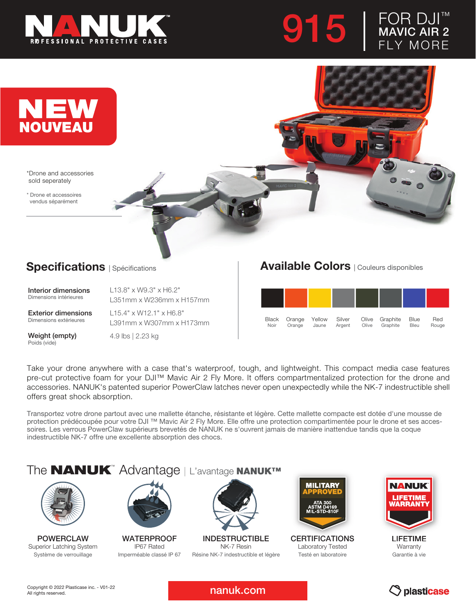





\*Drone and accessories sold seperately

\* Drone et accessoires vendus séparément

## **Specifications** | Spécifications

Interior dimensions Dimensions intérieures

Exterior dimensions Dimensions extérieures

L13.8" x W9.3" x H6.2" L351mm x W236mm x H157mm L15.4" x W12.1" x H6.8"

L391mm x W307mm x H173mm

Weight (empty) Poids (vide)

4.9 lbs | 2.23 kg

## Available Colors | Couleurs disponibles

| Black | Orange | Yellow | Silver | Olive | Graphite | Blue        | Red   |
|-------|--------|--------|--------|-------|----------|-------------|-------|
| Noir  | Orange | Jaune  | Argent | Olive | Graphite | <b>Bleu</b> | Rouge |

Take your drone anywhere with a case that's waterproof, tough, and lightweight. This compact media case features pre-cut protective foam for your DJI™ Mavic Air 2 Fly More. It offers compartmentalized protection for the drone and accessories. NANUK's patented superior PowerClaw latches never open unexpectedly while the NK-7 indestructible shell offers great shock absorption.

Transportez votre drone partout avec une mallette étanche, résistante et légère. Cette mallette compacte est dotée d'une mousse de protection prédécoupée pour votre DJI ™ Mavic Air 2 Fly More. Elle offre une protection compartimentée pour le drone et ses accessoires. Les verrous PowerClaw supérieurs brevetés de NANUK ne s'ouvrent jamais de manière inattendue tandis que la coque indestructible NK-7 offre une excellente absorption des chocs.

## The **NANUK**<sup>™</sup> Advantage | L'avantage NANUK™



POWERCLAW Superior Latching System Système de verrouillage



**WATERPROOF** IP67 Rated Imperméable classé IP 67



INDESTRUCTIBLE NK-7 Resin Résine NK-7 indestructible et légère



**CERTIFICATIONS** Laboratory Tested Testé en laboratoire



LIFETIME **Warranty** Garantie à vie



nanuk.com